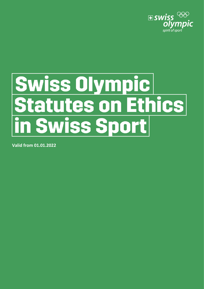

# Swiss Olympic **Statutes on Ethics** in Swiss Sport

**Valid from 01.01.2022**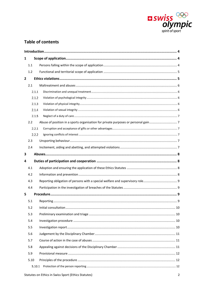

# **Table of contents**

| 1            |        |  |  |  |  |  |
|--------------|--------|--|--|--|--|--|
|              | 1.1    |  |  |  |  |  |
|              | 1.2    |  |  |  |  |  |
| $\mathbf{2}$ |        |  |  |  |  |  |
|              | 2.1    |  |  |  |  |  |
|              | 2.1.1  |  |  |  |  |  |
|              | 2.1.2  |  |  |  |  |  |
|              | 2.1.3  |  |  |  |  |  |
|              | 2.1.4  |  |  |  |  |  |
|              | 2.1.5  |  |  |  |  |  |
|              | 2.2    |  |  |  |  |  |
|              | 2.2.1  |  |  |  |  |  |
|              | 2.2.2  |  |  |  |  |  |
|              | 2.3    |  |  |  |  |  |
|              | 2.4    |  |  |  |  |  |
| 3            |        |  |  |  |  |  |
| 4            |        |  |  |  |  |  |
|              | 4.1    |  |  |  |  |  |
|              | 4.2    |  |  |  |  |  |
|              | 4.3    |  |  |  |  |  |
|              | 4.4    |  |  |  |  |  |
| 5            |        |  |  |  |  |  |
|              | 5.1    |  |  |  |  |  |
|              | 5.2    |  |  |  |  |  |
|              | 5.3    |  |  |  |  |  |
|              | 5.4    |  |  |  |  |  |
|              | 5.5    |  |  |  |  |  |
|              | 5.6    |  |  |  |  |  |
|              |        |  |  |  |  |  |
|              | 5.7    |  |  |  |  |  |
|              | 5.8    |  |  |  |  |  |
|              | 5.9    |  |  |  |  |  |
|              | 5.10   |  |  |  |  |  |
|              | 5.10.1 |  |  |  |  |  |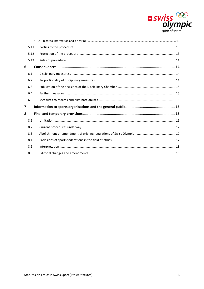

|                         | 5.10.2 |  |
|-------------------------|--------|--|
|                         | 5.11   |  |
|                         | 5.12   |  |
|                         | 5.13   |  |
| 6                       |        |  |
|                         | 6.1    |  |
|                         | 6.2    |  |
|                         | 6.3    |  |
|                         | 6.4    |  |
|                         | 6.5    |  |
| $\overline{\mathbf{z}}$ |        |  |
| 8                       |        |  |
|                         | 8.1    |  |
|                         | 8.2    |  |
|                         | 8.3    |  |
|                         | 8.4    |  |
|                         | 8.5    |  |
|                         | 8.6    |  |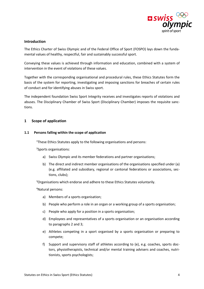

## <span id="page-3-0"></span>**Introduction**

The Ethics Charter of Swiss Olympic and of the Federal Office of Sport (FOSPO) lays down the fundamental values of healthy, respectful, fair and sustainably successful sport.

Conveying these values is achieved through information and education, combined with a system of intervention in the event of violations of these values.

Together with the corresponding organisational and procedural rules, these Ethics Statutes form the basis of the system for reporting, investigating and imposing sanctions for breaches of certain rules of conduct and for identifying abuses in Swiss sport.

The independent foundation Swiss Sport Integrity receives and investigates reports of violations and abuses. The Disciplinary Chamber of Swiss Sport (Disciplinary Chamber) imposes the requisite sanctions.

# <span id="page-3-1"></span>**1 Scope of application**

### <span id="page-3-2"></span>**1.1 Persons falling within the scope of application**

<sup>1</sup>These Ethics Statutes apply to the following organisations and persons:

2 Sports organisations:

- a) Swiss Olympic and its member federations and partner organisations;
- b) The direct and indirect member organisations of the organisations specified under (a) (e.g. affiliated and subsidiary, regional or cantonal federations or associations, sections, clubs);

<sup>3</sup>Organisations which endorse and adhere to these Ethics Statutes voluntarily.

<sup>4</sup>Natural persons:

- a) Members of a sports organisation;
- b) People who perform a role in an organ or a working group of a sports organisation;
- c) People who apply for a position in a sports organisation;
- d) Employees and representatives of a sports organisation or an organisation according to paragraphs 2 and 3;
- e) Athletes competing in a sport organised by a sports organisation or preparing to compete;
- f) Support and supervisory staff of athletes according to (e), e.g. coaches, sports doctors, physiotherapists, technical and/or mental training advisers and coaches, nutritionists, sports psychologists;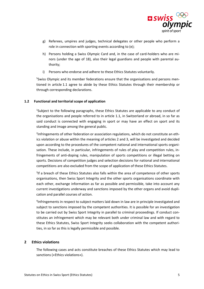

- g) Referees, umpires and judges, technical delegates or other people who perform a role in connection with sporting events according to (e);
- h) Persons holding a Swiss Olympic Card and, in the case of card-holders who are minors (under the age of 18), also their legal guardians and people with parental authority;
- i) Persons who endorse and adhere to these Ethics Statutes voluntarily.

<sup>5</sup>Swiss Olympic and its member federations ensure that the organisations and persons mentioned in article 1.1 agree to abide by these Ethics Statutes through their membership or through corresponding declarations.

# <span id="page-4-0"></span>**1.2 Functional and territorial scope of application**

<sup>1</sup>Subject to the following paragraphs, these Ethics Statutes are applicable to any conduct of the organisations and people referred to in article 1.1, in Switzerland or abroad, in so far as said conduct is connected with engaging in sport or may have an effect on sport and its standing and image among the general public.

2 Infringements of other federation or association regulations, which do not constitute an ethics violation or abuse within the meaning of articles 2 and 3, will be investigated and decided upon according to the procedures of the competent national and international sports organisation. These include, in particular, infringements of rules of play and competition rules, infringements of anti-doping rules, manipulation of sports competitions or illegal betting on sports. Decisions of competition judges and selection decisions for national and international competitions are also excluded from the scope of application of these Ethics Statutes.

<sup>3</sup>If a breach of these Ethics Statutes also falls within the area of competence of other sports organisations, then Swiss Sport Integrity and the other sports organisations coordinate with each other, exchange information as far as possible and permissible, take into account any current investigations underway and sanctions imposed by the other organs and avoid duplication and parallel courses of action.

<sup>4</sup>Infringements in respect to subject matters laid down in law are in principle investigated and subject to sanctions imposed by the competent authorities. It is possible for an investigation to be carried out by Swiss Sport Integrity in parallel to criminal proceedings. If conduct constitutes an infringement which may be relevant both under criminal law and with regard to these Ethics Statutes, Swiss Sport Integrity seeks collaboration with the competent authorities, in so far as this is legally permissible and possible.

### <span id="page-4-1"></span>**2 Ethics violations**

The following cases and acts constitute breaches of these Ethics Statutes which may lead to sanctions («Ethics violations»).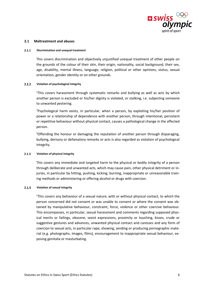

### <span id="page-5-0"></span>**2.1 Maltreatment and abuses**

### <span id="page-5-1"></span> $2.1.1$ **Discrimination and unequal treatment**

This covers discrimination and objectively unjustified unequal treatment of other people on the grounds of the colour of their skin, their origin, nationality, social background, their sex, age, disability, mental illness, language, religion, political or other opinions, status, sexual orientation, gender identity or on other grounds.

### <span id="page-5-2"></span> $2.1.2$ **Violation of psychological integrity**

<sup>1</sup>This covers harassment through systematic remarks and bullying as well as acts by which another person is excluded or his/her dignity is violated, or stalking, i.e. subjecting someone to unwanted pestering.

<sup>2</sup>Psychological harm exists, in particular, when a person, by exploiting his/her position of power or a relationship of dependence with another person, through intentional, persistent or repetitive behaviour without physical contact, causes a pathological change in the affected person.

<sup>3</sup>Offending the honour or damaging the reputation of another person through disparaging, bullying, derisory or defamatory remarks or acts is also regarded as violation of psychological integrity.

### <span id="page-5-3"></span> $2.1.3$ **Violation of physical integrity**

This covers any immediate and targeted harm to the physical or bodily integrity of a person through deliberate and unwanted acts, which may cause pain, other physical detriment or injuries, in particular by hitting, pushing, kicking, burning, inappropriate or unreasonable training methods or administering or offering alcohol or drugs with coercion.

### <span id="page-5-4"></span> $2.1.4$ **Violation of sexual integrity**

<sup>1</sup>This covers any behaviour of a sexual nature, with or without physical contact, to which the person concerned did not consent or was unable to consent or where the consent was obtained by manipulative behaviour, constraint, force, violence or other coercive behaviour. This encompasses, in particular, sexual harassment and comments regarding supposed physical merits or failings, obscene, sexist expressions, proximity or touching, kisses, crude or suggestive gestures and advances, unwanted physical contact and caresses and any form of coercion to sexual acts, in particular rape, showing, sending or producing pornographic material (e.g. photographs, images, films), encouragement to inappropriate sexual behaviour, exposing genitalia or masturbating.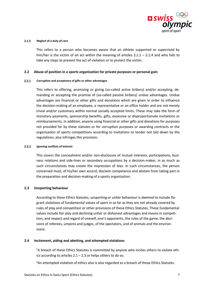

### <span id="page-6-0"></span> $2.1.5$ **Neglect of a duty of care**

This refers to a person who becomes aware that an athlete supported or supervised by him/her is the victim of an act within the meaning of articles  $2.1.1 - 2.1.4$  and who fails to take any steps to prevent the act of violation or to protect the victim.

### <span id="page-6-1"></span>**2.2 Abuse of position in a sports organisation for private purposes or personal gain**

### <span id="page-6-2"></span> $2.2.1$ **Corruption and acceptance of gifts or other advantages**

This refers to offering, promising or giving (so-called active bribery) and/or accepting, demanding or accepting the promise of (so-called passive bribery) undue advantages. Undue advantages are financial or other gifts and donations which are given in order to influence the decision-making of an employee, a representative or an office holder and are not merely trivial and/or customary within normal socially accepted limits. These may take the form of monetary payments, sponsorship benefits, gifts, excessive or disproportionate invitations or reimbursements. In addition, anyone using financial or other gifts and donations for purposes not provided for by these statutes or for corruption purposes or awarding contracts or the organisation of sports competitions according to invitations to tender not laid down by the regulations, also infringes this provision.

### <span id="page-6-3"></span> $2.2.2$ **Ignoring conflicts of interest**

This covers the concealment and/or non-disclosure of mutual interests, participations, business relations and side-lines or secondary occupations by a decision-maker, in as much as such circumstances may create the impression of bias. In such circumstances, the person concerned must, of his/her own accord, disclaim competence and abstain from taking part in the preparation and decision-making of a sports organisation.

### <span id="page-6-4"></span>**2.3 Unsporting behaviour**

According to these Ethics Statutes, unsporting or unfair behaviour is deemed to include flagrant violations of fundamental values of sport in so far as they are not already covered by rules of play and competition or other provisions of these Ethics Statutes. These fundamental values include fair play and declining unfair or dishonest advantages and means in competition, and respect and regard of oneself, one's opponents, the rules of the game, the decisions of referees, umpires and judges, of the spectators, and of animals and the environment.

### <span id="page-6-5"></span>**2.4 Incitement, aiding and abetting, and attempted violations**

<sup>1</sup>A breach of these Ethics Statutes is committed by anyone who incites others to violate ethics according to articles  $2.1 - 2.3$  or helps others to do so.

<sup>2</sup>An attempted violation of ethics also is also regarded as a breach of these Ethics Statutes.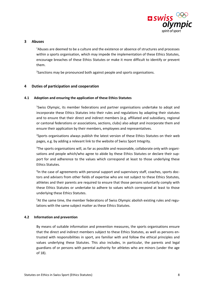

### <span id="page-7-0"></span>**3 Abuses**

<sup>1</sup>Abuses are deemed to be a culture and the existence or absence of structures and processes within a sports organisation, which may impede the implementation of these Ethics Statutes, encourage breaches of these Ethics Statutes or make it more difficult to identify or prevent them.

<sup>2</sup>Sanctions may be pronounced both against people and sports organisations.

### <span id="page-7-1"></span>**4 Duties of participation and cooperation**

### <span id="page-7-2"></span>**4.1 Adoption and ensuring the application of these Ethics Statutes**

<sup>1</sup>Swiss Olympic, its member federations and partner organisations undertake to adopt and incorporate these Ethics Statutes into their rules and regulations by adapting their statutes and to ensure that their direct and indirect members (e.g. affiliated and subsidiary, regional or cantonal federations or associations, sections, clubs) also adopt and incorporate them and ensure their application by their members, employees and representatives.

<sup>2</sup>Sports organisations always publish the latest version of these Ethics Statutes on their web pages, e.g. by adding a relevant link to the website of Swiss Sport Integrity.

<sup>3</sup>The sports organisations will, as far as possible and reasonable, collaborate only with organisations and people which/who agree to abide by these Ethics Statutes or declare their support for and adherence to the values which correspond at least to those underlying these Ethics Statutes.

<sup>4</sup>In the case of agreements with personal support and supervisory staff, coaches, sports doctors and advisers from other fields of expertise who are not subject to these Ethics Statutes, athletes and their parents are required to ensure that those persons voluntarily comply with these Ethics Statutes or undertake to adhere to values which correspond at least to those underlying these Ethics Statutes.

<sup>5</sup>At the same time, the member federations of Swiss Olympic abolish existing rules and regulations with the same subject matter as these Ethics Statutes.

### <span id="page-7-3"></span>**4.2 Information and prevention**

By means of suitable information and prevention measures, the sports organisations ensure that the direct and indirect members subject to these Ethics Statutes, as well as persons entrusted with responsibilities in sport, are familiar with and follow the ethical principles and values underlying these Statutes. This also includes, in particular, the parents and legal guardians of or persons with parental authority for athletes who are minors (under the age of 18).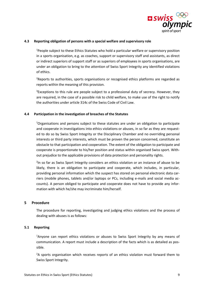

### <span id="page-8-0"></span>**4.3 Reporting obligation of persons with a special welfare and supervisory role**

<sup>1</sup>People subject to these Ethics Statutes who hold a particular welfare or supervisory position in a sports organisation, e.g. as coaches, support or supervisory staff and assistants, as direct or indirect superiors of support staff or as superiors of employees in sports organisations, are under an obligation to bring to the attention of Swiss Sport Integrity any identified violations of ethics.

<sup>2</sup>Reports to authorities, sports organisations or recognised ethics platforms are regarded as reports within the meaning of this provision.

 $3$ Exceptions to this rule are people subject to a professional duty of secrecy. However, they are required, in the case of a possible risk to child welfare, to make use of the right to notify the authorities under article 314c of the Swiss Code of Civil Law.

### <span id="page-8-1"></span>**4.4 Participation in the investigation of breaches of the Statutes**

<sup>1</sup>Organisations and persons subject to these statutes are under an obligation to participate and cooperate in investigations into ethics violations or abuses, in so far as they are requested to do so by Swiss Sport Integrity or the Disciplinary Chamber and no overriding personal interests or third party interests, which must be proven the person concerned, constitute an obstacle to that participation and cooperation. The extent of the obligation to participate and cooperate is proportionate to his/her position and status within organised Swiss sport. Without prejudice to the applicable provisions of data protection and personality rights.

<sup>2</sup>In so far as Swiss Sport Integrity considers an ethics violation or an instance of abuse to be likely, there is an obligation to participate and cooperate, which includes, in particular, providing personal information which the suspect has stored on personal electronic data carriers (mobile phones, tablets and/or laptops or PCs, including e-mails and social media accounts). A person obliged to participate and cooperate does not have to provide any information with which he/she may incriminate him/herself.

### <span id="page-8-2"></span>**5 Procedure**

The procedure for reporting, investigating and judging ethics violations and the process of dealing with abuses is as follows:

### <span id="page-8-3"></span>**5.1 Reporting**

<sup>1</sup>Anyone can report ethics violations or abuses to Swiss Sport Integrity by any means of communication. A report must include a description of the facts which is as detailed as possible.

 $2A$  sports organisation which receives reports of an ethics violation must forward them to Swiss Sport Integrity.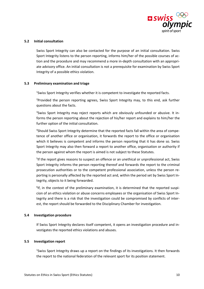

### <span id="page-9-0"></span>**5.2 Initial consultation**

Swiss Sport Integrity can also be contacted for the purpose of an initial consultation. Swiss Sport Integrity listens to the person reporting, informs him/her of the possible courses of action and the procedure and may recommend a more in-depth consultation with an appropriate advisory office. An initial consultation is not a prerequisite for examination by Swiss Sport Integrity of a possible ethics violation.

### <span id="page-9-1"></span>**5.3 Preliminary examination and triage**

<sup>1</sup>Swiss Sport Integrity verifies whether it is competent to investigate the reported facts.

<sup>2</sup>Provided the person reporting agrees, Swiss Sport Integrity may, to this end, ask further questions about the facts.

<sup>3</sup>Swiss Sport Integrity may reject reports which are obviously unfounded or abusive. It informs the person reporting about the rejection of his/her report and explains to him/her the further option of the initial consultation.

<sup>4</sup>Should Swiss Sport Integrity determine that the reported facts fall within the area of competence of another office or organisation, it forwards the report to the office or organisation which it believes is competent and informs the person reporting that it has done so. Swiss Sport Integrity may also then forward a report to another office, organisation or authority if the person against whom the report is aimed is not subject to these Statutes.

<sup>5</sup>If the report gives reasons to suspect an offence or an unethical or unprofessional act, Swiss Sport Integrity informs the person reporting thereof and forwards the report to the criminal prosecution authorities or to the competent professional association, unless the person reporting is personally affected by the reported act and, within the period set by Swiss Sport Integrity, objects to it being forwarded.

<sup>6</sup>If, in the context of the preliminary examination, it is determined that the reported suspicion of an ethics violation or abuse concerns employees or the organisation of Swiss Sport Integrity and there is a risk that the investigation could be compromised by conflicts of interest, the report should be forwarded to the Disciplinary Chamber for investigation.

### <span id="page-9-2"></span>**5.4 Investigation procedure**

If Swiss Sport Integrity declares itself competent, it opens an investigation procedure and investigates the reported ethics violations and abuses.

### <span id="page-9-3"></span>**5.5 Investigation report**

<sup>1</sup>Swiss Sport Integrity draws up a report on the findings of its investigations. It then forwards the report to the national federation of the relevant sport for its position statement.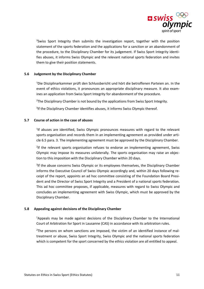

<sup>2</sup>Swiss Sport Integrity then submits the investigation report, together with the position statement of the sports federation and the applications for a sanction or an abandonment of the procedure, to the Disciplinary Chamber for its judgement. If Swiss Sport Integrity identifies abuses, it informs Swiss Olympic and the relevant national sports federation and invites them to give their position statements.

# <span id="page-10-0"></span>**5.6 Judgement by the Disciplinary Chamber**

<sup>1</sup>Die Disziplinarkammer prüft den Schlussbericht und hört die betroffenen Parteien an. In the event of ethics violations, it pronounces an appropriate disciplinary measure. It also examines an application from Swiss Sport Integrity for abandonment of the procedure.

<sup>2</sup>The Disciplinary Chamber is not bound by the applications from Swiss Sport Integrity.

<sup>3</sup>If the Disciplinary Chamber identifies abuses, it informs Swiss Olympic thereof.

# <span id="page-10-1"></span>**5.7 Course of action in the case of abuses**

<sup>1</sup>If abuses are identified, Swiss Olympic pronounces measures with regard to the relevant sports organisation and records them in an implementing agreement as provided under article 6.5 para. 3. The implementing agreement must be approved by the Disciplinary Chamber.

<sup>2</sup>If the relevant sports organisation refuses to endorse an implementing agreement, Swiss Olympic may impose its measures unilaterally. The sports organisation may raise an objection to this imposition with the Disciplinary Chamber within 20 days.

<sup>3</sup>If the abuse concerns Swiss Olympic or its employees themselves, the Disciplinary Chamber informs the Executive Council of Swiss Olympic accordingly and, within 20 days following receipt of the report, appoints an ad hoc committee consisting of the Foundation Board President and the Director of Swiss Sport Integrity and a President of a national sports federation. This ad hoc committee proposes, if applicable, measures with regard to Swiss Olympic and concludes an implementing agreement with Swiss Olympic, which must be approved by the Disciplinary Chamber.

### <span id="page-10-2"></span>**5.8 Appealing against decisions of the Disciplinary Chamber**

<sup>1</sup>Appeals may be made against decisions of the Disciplinary Chamber to the International Court of Arbitration for Sport in Lausanne (CAS) in accordance with its arbitration rules.

 $2$ The persons on whom sanctions are imposed, the victim of an identified instance of maltreatment or abuse, Swiss Sport Integrity, Swiss Olympic and the national sports federation which is competent for the sport concerned by the ethics violation are all entitled to appeal.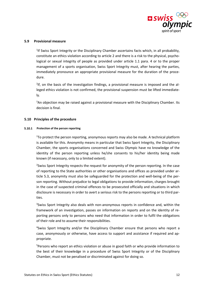

### <span id="page-11-0"></span>**5.9 Provisional measure**

<sup>1</sup>If Swiss Sport Integrity or the Disciplinary Chamber ascertains facts which, in all probability, constitute an ethics violation according to article 2 and there is a risk to the physical, psychological or sexual integrity of people as provided under article 1.1 para. 4 or to the proper management of a sports organisation, Swiss Sport Integrity must, after hearing the parties, immediately pronounce an appropriate provisional measure for the duration of the procedure.

<sup>2</sup>If, on the basis of the investigation findings, a provisional measure is imposed and the alleged ethics violation is not confirmed, the provisional suspension must be lifted immediately.

<sup>3</sup>An objection may be raised against a provisional measure with the Disciplinary Chamber. Its decision is final.

### <span id="page-11-1"></span>**5.10 Principles of the procedure**

### <span id="page-11-2"></span>**5.10.1** Protection of the person reporting

 $1$ To protect the person reporting, anonymous reports may also be made. A technical platform is available for this. Anonymity means in particular that Swiss Sport Integrity, the Disciplinary Chamber, the sports organisations concerned and Swiss Olympic have no knowledge of the identity of the person reporting unless he/she consents to his/her identity being made known (if necessary, only to a limited extent).

<sup>2</sup>Swiss Sport Integrity respects the request for anonymity of the person reporting. In the case of reporting to the State authorities or other organisations and offices as provided under article 5.3, anonymity must also be safeguarded for the protection and well-being of the person reporting. Without prejudice to legal obligations to provide information, charges brought in the case of suspected criminal offences to be prosecuted officially and situations in which disclosure is necessary in order to avert a serious risk to the persons reporting or to third parties.

<sup>3</sup>Swiss Sport Integrity also deals with non-anonymous reports in confidence and, within the framework of an investigation, passes on information on reports and on the identity of reporting persons only to persons who need that information in order to fulfil the obligations of their role and to assume their responsibilities.

4 Swiss Sport Integrity and/or the Disciplinary Chamber ensure that persons who report a case, anonymously or otherwise, have access to support and assistance if required and appropriate.

<sup>5</sup>Persons who report an ethics violation or abuse in good faith or who provide information to the best of their knowledge in a procedure of Swiss Sport Integrity or of the Disciplinary Chamber, must not be penalised or discriminated against for doing so.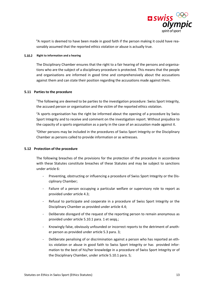

<sup>6</sup>A report is deemed to have been made in good faith if the person making it could have reasonably assumed that the reported ethics violation or abuse is actually true.

### <span id="page-12-0"></span>**5.10.2** Right to information and a hearing

The Disciplinary Chamber ensures that the right to a fair hearing of the persons and organisations who are the subject of a disciplinary procedure is protected. This means that the people and organisations are informed in good time and comprehensively about the accusations against them and can state their position regarding the accusations made against them.

### <span id="page-12-1"></span>**5.11 Parties to the procedure**

<sup>1</sup>The following are deemed to be parties to the investigation procedure: Swiss Sport Integrity, the accused person or organisation and the victim of the reported ethics violation.

 $2A$  sports organisation has the right be informed about the opening of a procedure by Swiss Sport Integrity and to receive and comment on the investigation report. Without prejudice to the capacity of a sports organisation as a party in the case of an accusation made against it.

<sup>3</sup>Other persons may be included in the procedures of Swiss Sport Integrity or the Disciplinary Chamber as persons called to provide information or as witnesses.

### <span id="page-12-2"></span>**5.12 Protection of the procedure**

The following breaches of the provisions for the protection of the procedure in accordance with these Statutes constitute breaches of these Statutes and may be subject to sanctions under article 6:

- Preventing, obstructing or influencing a procedure of Swiss Sport Integrity or the Disciplinary Chamber;
- Failure of a person occupying a particular welfare or supervisory role to report as provided under article 4.3;
- Refusal to participate and cooperate in a procedure of Swiss Sport Integrity or the Disciplinary Chamber as provided under article 4.4;
- Deliberate disregard of the request of the reporting person to remain anonymous as provided under article 5.10.1 para. 1 et seqq.;
- Knowingly false, obviously unfounded or incorrect reports to the detriment of another person as provided under article 5.3 para. 3;
- Deliberate penalising of or discrimination against a person who has reported an ethics violation or abuse in good faith to Swiss Sport Integrity or has provided information to the best of his/her knowledge in a procedure of Swiss Sport Integrity or of the Disciplinary Chamber, under article 5.10.1 para. 5;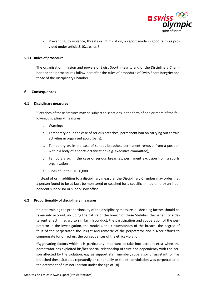

- Preventing, by violence, threats or intimidation, a report made in good faith as provided under article 5.10.1 para. 6.

### <span id="page-13-0"></span>**5.13 Rules of procedure**

The organisation, mission and powers of Swiss Sport Integrity and of the Disciplinary Chamber and their procedures follow hereafter the rules of procedure of Swiss Sport Integrity and those of the Disciplinary Chamber.

### <span id="page-13-1"></span>**6 Consequences**

### <span id="page-13-2"></span>**6.1 Disciplinary measures**

<sup>1</sup>Breaches of these Statutes may be subject to sanctions in the form of one or more of the following disciplinary measures:

- a. Warning;
- b. Temporary or, in the case of serious breaches, permanent ban on carrying out certain activities in organised sport (bans);
- c. Temporary or, in the case of serious breaches, permanent removal from a position within a body of a sports organisation (e.g. executive committee);
- d. Temporary or, in the case of serious breaches, permanent exclusion from a sports organisation
- e. Fines of up to CHF 50,000.

<sup>2</sup>Instead of or in addition to a disciplinary measure, the Disciplinary Chamber may order that a person found to be at fault be monitored or coached for a specific limited time by an independent supervisor or supervisory office.

### <span id="page-13-3"></span>**6.2 Proportionality of disciplinary measures**

<sup>1</sup>In determining the proportionality of the disciplinary measure, all deciding factors should be taken into account, including the nature of the breach of these Statutes, the benefit of a deterrent effect in regard to similar misconduct, the participation and cooperation of the perpetrator in the investigation, the motives, the circumstances of the breach, the degree of fault of the perpetrator, the insight and remorse of the perpetrator and his/her efforts to compensate for or redress the consequences of the ethics violation.

<sup>2</sup>Aggravating factors which it is particularly important to take into account exist when the perpetrator has exploited his/her special relationship of trust and dependency with the person affected by the violation, e.g. as support staff member, supervisor or assistant, or has breached these Statutes repeatedly or continually or the ethics violation was perpetrated to the detriment of a minor (person under the age of 18).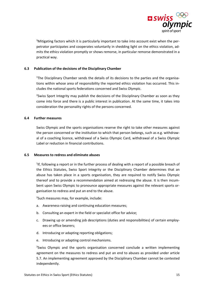

<sup>3</sup>Mitigating factors which it is particularly important to take into account exist when the perpetrator participates and cooperates voluntarily in shedding light on the ethics violation, admits the ethics violation promptly or shows remorse, in particular remorse demonstrated in a practical way.

# <span id="page-14-0"></span>**6.3 Publication of the decisions of the Disciplinary Chamber**

<sup>1</sup>The Disciplinary Chamber sends the details of its decisions to the parties and the organisations within whose area of responsibility the reported ethics violation has occurred. This includes the national sports federations concerned and Swiss Olympic.

<sup>2</sup>Swiss Sport Integrity may publish the decisions of the Disciplinary Chamber as soon as they come into force and there is a public interest in publication. At the same time, it takes into consideration the personality rights of the persons concerned.

### <span id="page-14-1"></span>**6.4 Further measures**

Swiss Olympic and the sports organisations reserve the right to take other measures against the person concerned or the institution to which that person belongs, such as e.g. withdrawal of a coaching licence, withdrawal of a Swiss Olympic Card, withdrawal of a Swiss Olympic Label or reduction in financial contributions.

### <span id="page-14-2"></span>**6.5 Measures to redress and eliminate abuses**

<sup>1</sup>If, following a report or in the further process of dealing with a report of a possible breach of the Ethics Statutes, Swiss Sport Integrity or the Disciplinary Chamber determines that an abuse has taken place in a sports organisation, they are required to notify Swiss Olympic thereof and to provide a recommendation aimed at redressing the abuse. It is then incumbent upon Swiss Olympic to pronounce appropriate measures against the relevant sports organisation to redress and put an end to the abuse.

2 Such measures may, for example, include:

- a. Awareness-raising and continuing education measures;
- b. Consulting an expert in the field or specialist office for advice;
- c. Drawing up or amending job descriptions (duties and responsibilities) of certain employees or office bearers;
- d. Introducing or adapting reporting obligations;
- e. Introducing or adapting control mechanisms.

<sup>3</sup>Swiss Olympic and the sports organisation concerned conclude a written implementing agreement on the measures to redress and put an end to abuses as provided under article 5.7. An implementing agreement approved by the Disciplinary Chamber cannot be contested independently.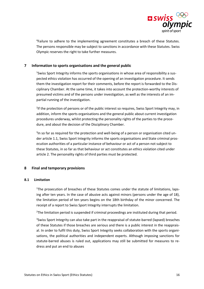

4 Failure to adhere to the implementing agreement constitutes a breach of these Statutes. The persons responsible may be subject to sanctions in accordance with these Statutes. Swiss Olympic reserves the right to take further measures.

# <span id="page-15-0"></span>**7 Information to sports organisations and the general public**

<sup>1</sup>Swiss Sport Integrity informs the sports organisations in whose area of responsibility a suspected ethics violation has occurred of the opening of an investigation procedure. It sends them the investigation report for their comments, before the report is forwarded to the Disciplinary Chamber. At the same time, it takes into account the protection-worthy interests of presumed victims and of the persons under investigation, as well as the interests of an impartial running of the investigation.

<sup>2</sup>If the protection of persons or of the public interest so requires, Swiss Sport Integrity may, in addition, inform the sports organisations and the general public about current investigation procedures underway, whilst protecting the personality rights of the parties to the procedure, and about the decision of the Disciplinary Chamber.

<sup>3</sup>In so far as required for the protection and well-being of a person or organisation cited under article 1.1, Swiss Sport Integrity informs the sports organisations and State criminal prosecution authorities of a particular instance of behaviour or act of a person not subject to these Statutes, in so far as that behaviour or act constitutes an ethics violation cited under article 2. The personality rights of third parties must be protected.

# <span id="page-15-1"></span>**8 Final and temporary provisions**

### <span id="page-15-2"></span>**8.1 Limitation**

<sup>1</sup>The prosecution of breaches of these Statutes comes under the statute of limitations, lapsing after ten years. In the case of abusive acts against minors (persons under the age of 18), the limitation period of ten years begins on the 18th birthday of the minor concerned. The receipt of a report to Swiss Sport Integrity interrupts the limitation.

<sup>2</sup>The limitation period is suspended if criminal proceedings are instituted during that period.

<sup>3</sup>Swiss Sport Integrity can also take part in the reappraisal of statute-barred (lapsed) breaches of these Statutes if those breaches are serious and there is a public interest in the reappraisal. In order to fulfil this duty, Swiss Sport Integrity seeks collaboration with the sports organisations, the political authorities and independent experts. Although imposing sanctions for statute-barred abuses is ruled out, applications may still be submitted for measures to redress and put an end to abuses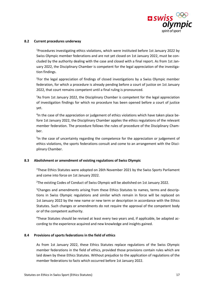

### <span id="page-16-0"></span>**8.2 Current procedures underway**

<sup>1</sup>Procedures investigating ethics violations, which were instituted before 1st January 2022 by Swiss Olympic member federations and are not yet closed on 1st January 2022, must be concluded by the authority dealing with the case and closed with a final report. As from 1st January 2022, the Disciplinary Chamber is competent for the legal appreciation of the investigation findings.

<sup>2</sup>For the legal appreciation of findings of closed investigations by a Swiss Olympic member federation, for which a procedure is already pending before a court of justice on 1st January 2022, that court remains competent until a final ruling is pronounced.

<sup>3</sup>As from 1st January 2022, the Disciplinary Chamber is competent for the legal appreciation of investigation findings for which no procedure has been opened before a court of justice yet.

<sup>4</sup>In the case of the appreciation or judgement of ethics violations which have taken place before 1st January 2022, the Disciplinary Chamber applies the ethics regulations of the relevant member federation. The procedure follows the rules of procedure of the Disciplinary Chamber.

<sup>5</sup>In the case of uncertainty regarding the competence for the appreciation or judgement of ethics violations, the sports federations consult and come to an arrangement with the Disciplinary Chamber.

### <span id="page-16-1"></span>**8.3 Abolishment or amendment of existing regulations of Swiss Olympic**

<sup>1</sup>These Ethics Statutes were adopted on 26th November 2021 by the Swiss Sports Parliament and come into force on 1st January 2022.

<sup>2</sup>The existing Codes of Conduct of Swiss Olympic will be abolished on 1st January 2022.

<sup>3</sup>Changes and amendments arising from these Ethics Statutes to names, terms and descriptions in Swiss Olympic regulations and similar which remain in force will be replaced on 1st January 2022 by the new name or new term or description in accordance with the Ethics Statutes. Such changes or amendments do not require the approval of the competent body or of the competent authority.

4These Statutes should be revised at least every two years and, if applicable, be adapted according to the experience acquired and new knowledge and insights gained.

### <span id="page-16-2"></span>**8.4 Provisions of sports federations in the field of ethics**

As from 1st January 2022, these Ethics Statutes replace regulations of the Swiss Olympic member federations in the field of ethics, provided those provisions contain rules which are laid down by these Ethics Statutes. Without prejudice to the application of regulations of the member federations to facts which occurred before 1st January 2022.